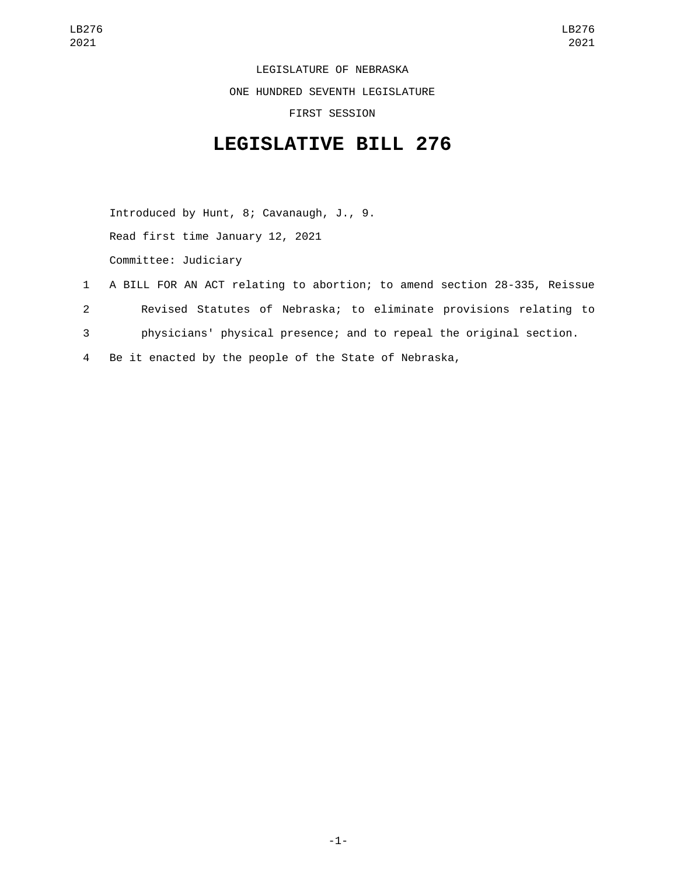LEGISLATURE OF NEBRASKA

ONE HUNDRED SEVENTH LEGISLATURE

FIRST SESSION

## **LEGISLATIVE BILL 276**

Introduced by Hunt, 8; Cavanaugh, J., 9. Read first time January 12, 2021 Committee: Judiciary

- 1 A BILL FOR AN ACT relating to abortion; to amend section 28-335, Reissue 2 Revised Statutes of Nebraska; to eliminate provisions relating to 3 physicians' physical presence; and to repeal the original section.
- 4 Be it enacted by the people of the State of Nebraska,